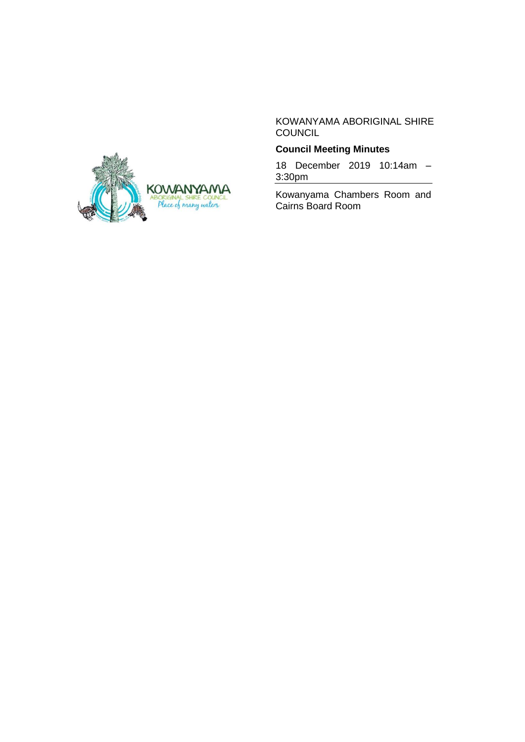KOWANYAMA ABORIGINAL SHIRE **COUNCIL** 

## **Council Meeting Minutes**

18 December 2019 10:14am – 3:30pm

Kowanyama Chambers Room and Cairns Board Room

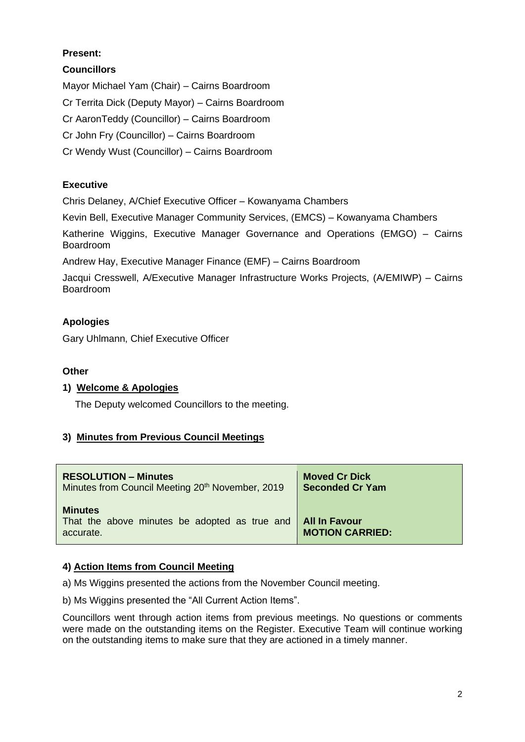# **Present:**

## **Councillors**

Mayor Michael Yam (Chair) – Cairns Boardroom Cr Territa Dick (Deputy Mayor) – Cairns Boardroom Cr AaronTeddy (Councillor) – Cairns Boardroom Cr John Fry (Councillor) – Cairns Boardroom Cr Wendy Wust (Councillor) – Cairns Boardroom

## **Executive**

Chris Delaney, A/Chief Executive Officer – Kowanyama Chambers

Kevin Bell, Executive Manager Community Services, (EMCS) – Kowanyama Chambers

Katherine Wiggins, Executive Manager Governance and Operations (EMGO) – Cairns Boardroom

Andrew Hay, Executive Manager Finance (EMF) – Cairns Boardroom

Jacqui Cresswell, A/Executive Manager Infrastructure Works Projects, (A/EMIWP) – Cairns Boardroom

## **Apologies**

Gary Uhlmann, Chief Executive Officer

### **Other**

### **1) Welcome & Apologies**

The Deputy welcomed Councillors to the meeting.

### **3) Minutes from Previous Council Meetings**

| <b>RESOLUTION – Minutes</b>                                                  | <b>Moved Cr Dick</b>                           |
|------------------------------------------------------------------------------|------------------------------------------------|
| Minutes from Council Meeting 20 <sup>th</sup> November, 2019                 | <b>Seconded Cr Yam</b>                         |
| <b>Minutes</b><br>That the above minutes be adopted as true and<br>accurate. | <b>All In Favour</b><br><b>MOTION CARRIED:</b> |

### **4) Action Items from Council Meeting**

a) Ms Wiggins presented the actions from the November Council meeting.

b) Ms Wiggins presented the "All Current Action Items".

Councillors went through action items from previous meetings. No questions or comments were made on the outstanding items on the Register. Executive Team will continue working on the outstanding items to make sure that they are actioned in a timely manner.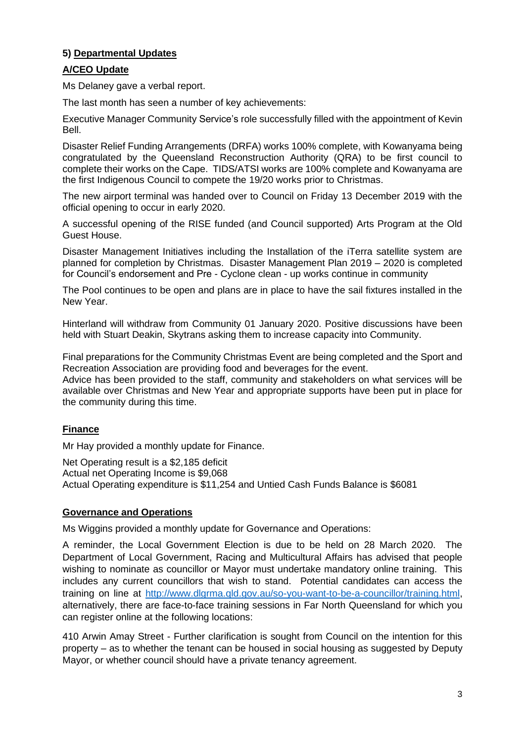## **5) Departmental Updates**

#### **A/CEO Update**

Ms Delaney gave a verbal report.

The last month has seen a number of key achievements:

Executive Manager Community Service's role successfully filled with the appointment of Kevin Bell.

Disaster Relief Funding Arrangements (DRFA) works 100% complete, with Kowanyama being congratulated by the Queensland Reconstruction Authority (QRA) to be first council to complete their works on the Cape. TIDS/ATSI works are 100% complete and Kowanyama are the first Indigenous Council to compete the 19/20 works prior to Christmas.

The new airport terminal was handed over to Council on Friday 13 December 2019 with the official opening to occur in early 2020.

A successful opening of the RISE funded (and Council supported) Arts Program at the Old Guest House.

Disaster Management Initiatives including the Installation of the iTerra satellite system are planned for completion by Christmas. Disaster Management Plan 2019 – 2020 is completed for Council's endorsement and Pre - Cyclone clean - up works continue in community

The Pool continues to be open and plans are in place to have the sail fixtures installed in the New Year.

Hinterland will withdraw from Community 01 January 2020. Positive discussions have been held with Stuart Deakin, Skytrans asking them to increase capacity into Community.

Final preparations for the Community Christmas Event are being completed and the Sport and Recreation Association are providing food and beverages for the event.

Advice has been provided to the staff, community and stakeholders on what services will be available over Christmas and New Year and appropriate supports have been put in place for the community during this time.

### **Finance**

Mr Hay provided a monthly update for Finance.

Net Operating result is a \$2,185 deficit

Actual net Operating Income is \$9,068

Actual Operating expenditure is \$11,254 and Untied Cash Funds Balance is \$6081

#### **Governance and Operations**

Ms Wiggins provided a monthly update for Governance and Operations:

A reminder, the Local Government Election is due to be held on 28 March 2020. The Department of Local Government, Racing and Multicultural Affairs has advised that people wishing to nominate as councillor or Mayor must undertake mandatory online training. This includes any current councillors that wish to stand. Potential candidates can access the training on line at [http://www.dlgrma.qld.gov.au/so-you-want-to-be-a-councillor/training.html,](http://www.dlgrma.qld.gov.au/so-you-want-to-be-a-councillor/training.html) alternatively, there are face-to-face training sessions in Far North Queensland for which you can register online at the following locations:

410 Arwin Amay Street - Further clarification is sought from Council on the intention for this property – as to whether the tenant can be housed in social housing as suggested by Deputy Mayor, or whether council should have a private tenancy agreement.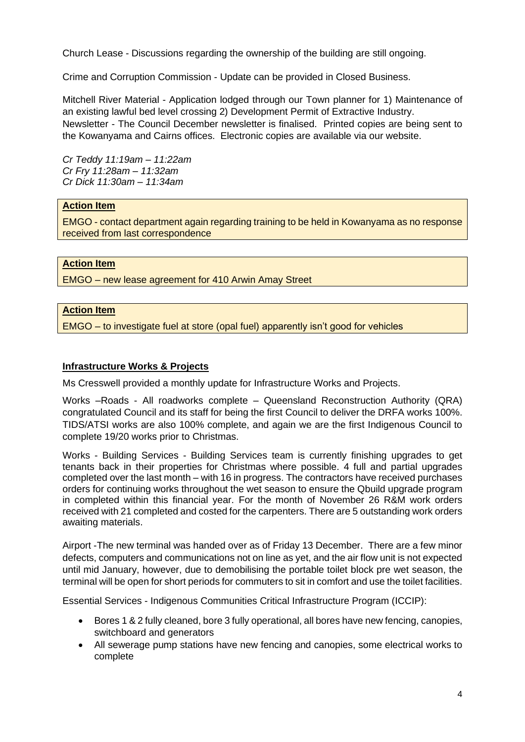Church Lease - Discussions regarding the ownership of the building are still ongoing.

Crime and Corruption Commission - Update can be provided in Closed Business.

Mitchell River Material - Application lodged through our Town planner for 1) Maintenance of an existing lawful bed level crossing 2) Development Permit of Extractive Industry. Newsletter - The Council December newsletter is finalised. Printed copies are being sent to the Kowanyama and Cairns offices. Electronic copies are available via our website.

*Cr Teddy 11:19am – 11:22am Cr Fry 11:28am – 11:32am Cr Dick 11:30am – 11:34am*

#### **Action Item**

EMGO - contact department again regarding training to be held in Kowanyama as no response received from last correspondence

#### **Action Item**

EMGO – new lease agreement for 410 Arwin Amay Street

#### **Action Item**

EMGO – to investigate fuel at store (opal fuel) apparently isn't good for vehicles

#### **Infrastructure Works & Projects**

Ms Cresswell provided a monthly update for Infrastructure Works and Projects.

Works –Roads - All roadworks complete – Queensland Reconstruction Authority (QRA) congratulated Council and its staff for being the first Council to deliver the DRFA works 100%. TIDS/ATSI works are also 100% complete, and again we are the first Indigenous Council to complete 19/20 works prior to Christmas.

Works - Building Services - Building Services team is currently finishing upgrades to get tenants back in their properties for Christmas where possible. 4 full and partial upgrades completed over the last month – with 16 in progress. The contractors have received purchases orders for continuing works throughout the wet season to ensure the Qbuild upgrade program in completed within this financial year. For the month of November 26 R&M work orders received with 21 completed and costed for the carpenters. There are 5 outstanding work orders awaiting materials.

Airport -The new terminal was handed over as of Friday 13 December. There are a few minor defects, computers and communications not on line as yet, and the air flow unit is not expected until mid January, however, due to demobilising the portable toilet block pre wet season, the terminal will be open for short periods for commuters to sit in comfort and use the toilet facilities.

Essential Services - Indigenous Communities Critical Infrastructure Program (ICCIP):

- Bores 1 & 2 fully cleaned, bore 3 fully operational, all bores have new fencing, canopies, switchboard and generators
- All sewerage pump stations have new fencing and canopies, some electrical works to complete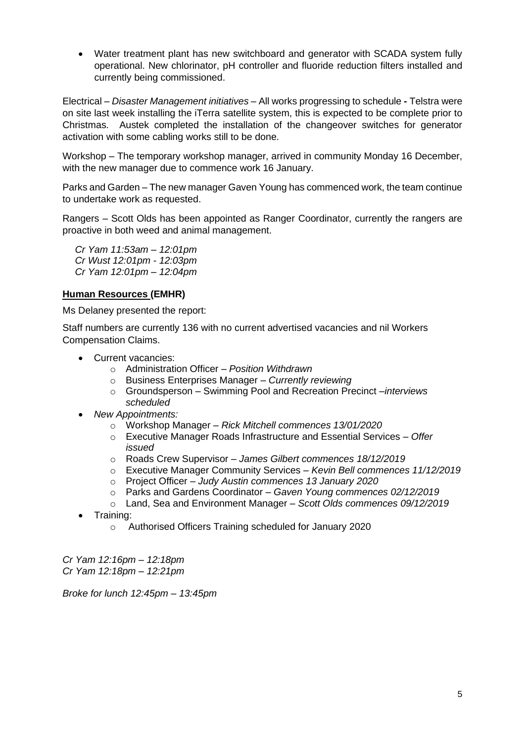• Water treatment plant has new switchboard and generator with SCADA system fully operational. New chlorinator, pH controller and fluoride reduction filters installed and currently being commissioned.

Electrical – *Disaster Management initiatives –* All works progressing to schedule **-** Telstra were on site last week installing the iTerra satellite system, this is expected to be complete prior to Christmas. Austek completed the installation of the changeover switches for generator activation with some cabling works still to be done.

Workshop – The temporary workshop manager, arrived in community Monday 16 December, with the new manager due to commence work 16 January.

Parks and Garden – The new manager Gaven Young has commenced work, the team continue to undertake work as requested.

Rangers – Scott Olds has been appointed as Ranger Coordinator, currently the rangers are proactive in both weed and animal management.

*Cr Yam 11:53am – 12:01pm Cr Wust 12:01pm - 12:03pm Cr Yam 12:01pm – 12:04pm*

#### **Human Resources (EMHR)**

Ms Delaney presented the report:

Staff numbers are currently 136 with no current advertised vacancies and nil Workers Compensation Claims.

- Current vacancies:
	- o Administration Officer *– Position Withdrawn*
	- o Business Enterprises Manager *– Currently reviewing*
	- o Groundsperson Swimming Pool and Recreation Precinct –*interviews scheduled*
- *New Appointments:*
	- o Workshop Manager *Rick Mitchell commences 13/01/2020*
	- o Executive Manager Roads Infrastructure and Essential Services *Offer issued*
	- o Roads Crew Supervisor *James Gilbert commences 18/12/2019*
	- o Executive Manager Community Services *Kevin Bell commences 11/12/2019*
	- o Project Officer *Judy Austin commences 13 January 2020*
	- o Parks and Gardens Coordinator *Gaven Young commences 02/12/2019*
	- o Land, Sea and Environment Manager *Scott Olds commences 09/12/2019*
- Training:
	- o Authorised Officers Training scheduled for January 2020

*Cr Yam 12:16pm – 12:18pm Cr Yam 12:18pm – 12:21pm*

*Broke for lunch 12:45pm – 13:45pm*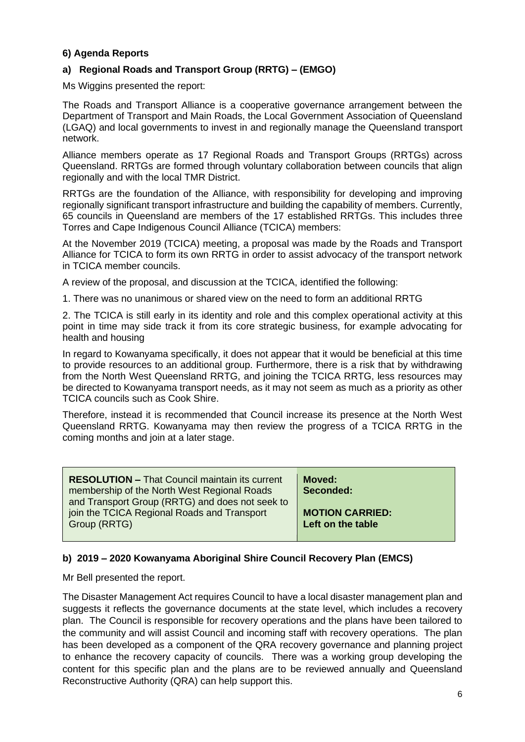#### **6) Agenda Reports**

#### **a) Regional Roads and Transport Group (RRTG) – (EMGO)**

Ms Wiggins presented the report:

The Roads and Transport Alliance is a cooperative governance arrangement between the Department of Transport and Main Roads, the Local Government Association of Queensland (LGAQ) and local governments to invest in and regionally manage the Queensland transport network.

Alliance members operate as 17 Regional Roads and Transport Groups (RRTGs) across Queensland. RRTGs are formed through voluntary collaboration between councils that align regionally and with the local TMR District.

RRTGs are the foundation of the Alliance, with responsibility for developing and improving regionally significant transport infrastructure and building the capability of members. Currently, 65 councils in Queensland are members of the 17 established RRTGs. This includes three Torres and Cape Indigenous Council Alliance (TCICA) members:

At the November 2019 (TCICA) meeting, a proposal was made by the Roads and Transport Alliance for TCICA to form its own RRTG in order to assist advocacy of the transport network in TCICA member councils.

A review of the proposal, and discussion at the TCICA, identified the following:

1. There was no unanimous or shared view on the need to form an additional RRTG

2. The TCICA is still early in its identity and role and this complex operational activity at this point in time may side track it from its core strategic business, for example advocating for health and housing

In regard to Kowanyama specifically, it does not appear that it would be beneficial at this time to provide resources to an additional group. Furthermore, there is a risk that by withdrawing from the North West Queensland RRTG, and joining the TCICA RRTG, less resources may be directed to Kowanyama transport needs, as it may not seem as much as a priority as other TCICA councils such as Cook Shire.

Therefore, instead it is recommended that Council increase its presence at the North West Queensland RRTG. Kowanyama may then review the progress of a TCICA RRTG in the coming months and join at a later stage.

| <b>RESOLUTION - That Council maintain its current</b><br>membership of the North West Regional Roads<br>and Transport Group (RRTG) and does not seek to | Moved:<br>Seconded:    |
|---------------------------------------------------------------------------------------------------------------------------------------------------------|------------------------|
| join the TCICA Regional Roads and Transport                                                                                                             | <b>MOTION CARRIED:</b> |
| Group (RRTG)                                                                                                                                            | Left on the table      |

#### **b) 2019 – 2020 Kowanyama Aboriginal Shire Council Recovery Plan (EMCS)**

Mr Bell presented the report.

The Disaster Management Act requires Council to have a local disaster management plan and suggests it reflects the governance documents at the state level, which includes a recovery plan. The Council is responsible for recovery operations and the plans have been tailored to the community and will assist Council and incoming staff with recovery operations. The plan has been developed as a component of the QRA recovery governance and planning project to enhance the recovery capacity of councils. There was a working group developing the content for this specific plan and the plans are to be reviewed annually and Queensland Reconstructive Authority (QRA) can help support this.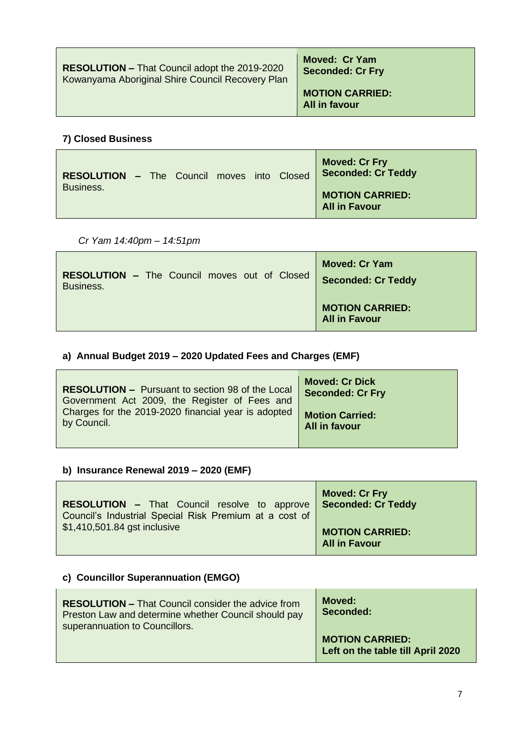| <b>RESOLUTION – That Council adopt the 2019-2020</b> | Moved: Cr Yam                           |
|------------------------------------------------------|-----------------------------------------|
| Kowanyama Aboriginal Shire Council Recovery Plan     | <b>Seconded: Cr Fry</b>                 |
|                                                      | <b>MOTION CARRIED:</b><br>All in favour |

## **7) Closed Business**

| <b>RESOLUTION - The Council moves into Closed</b> |  |  |  | Moved: Cr Fry<br><b>Seconded: Cr Teddy</b>     |
|---------------------------------------------------|--|--|--|------------------------------------------------|
| Business.                                         |  |  |  | <b>MOTION CARRIED:</b><br><b>All in Favour</b> |

*Cr Yam 14:40pm – 14:51pm*

| <b>RESOLUTION - The Council moves out of Closed</b> | <b>Moved: Cr Yam</b>                           |
|-----------------------------------------------------|------------------------------------------------|
| Business.                                           | <b>Seconded: Cr Teddy</b>                      |
|                                                     | <b>MOTION CARRIED:</b><br><b>All in Favour</b> |

# **a) Annual Budget 2019 – 2020 Updated Fees and Charges (EMF)**

| <b>RESOLUTION - Pursuant to section 98 of the Local</b> | <b>Moved: Cr Dick</b>   |
|---------------------------------------------------------|-------------------------|
| Government Act 2009, the Register of Fees and           | <b>Seconded: Cr Fry</b> |
| Charges for the 2019-2020 financial year is adopted     | <b>Motion Carried:</b>  |
| by Council.                                             | All in favour           |

# **b) Insurance Renewal 2019 – 2020 (EMF)**

| <b>RESOLUTION - That Council resolve to approve</b>    | <b>Moved: Cr Fry</b>                           |
|--------------------------------------------------------|------------------------------------------------|
| Council's Industrial Special Risk Premium at a cost of | <b>Seconded: Cr Teddy</b>                      |
| \$1,410,501.84 gst inclusive                           | <b>MOTION CARRIED:</b><br><b>All in Favour</b> |

# **c) Councillor Superannuation (EMGO)**

| <b>RESOLUTION - That Council consider the advice from</b><br>Preston Law and determine whether Council should pay<br>superannuation to Councillors. | Moved:<br>Seconded:                                         |
|-----------------------------------------------------------------------------------------------------------------------------------------------------|-------------------------------------------------------------|
|                                                                                                                                                     | <b>MOTION CARRIED:</b><br>Left on the table till April 2020 |